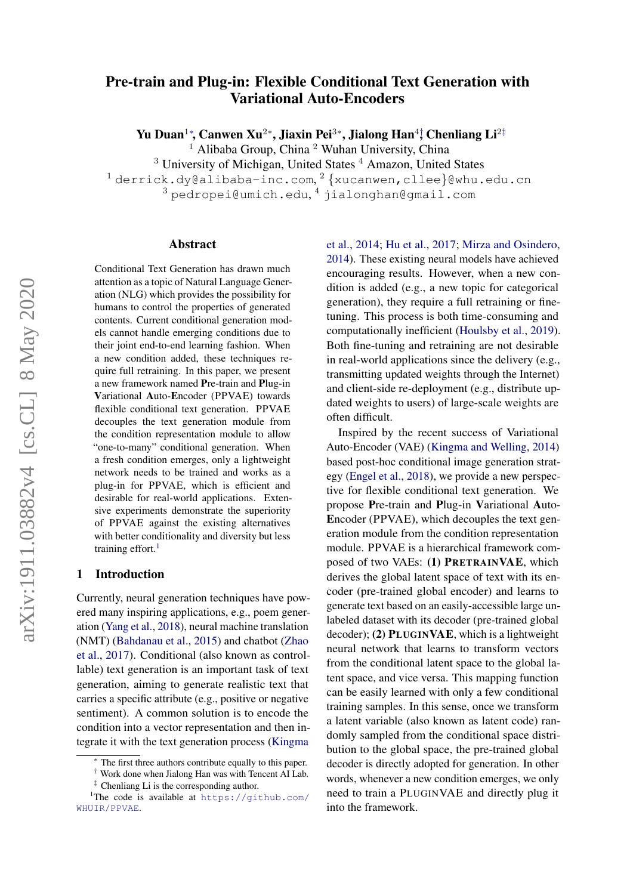# Pre-train and Plug-in: Flexible Conditional Text Generation with Variational Auto-Encoders

Yu Duan<sup>1</sup>\*, Canwen Xu<sup>2</sup>\*, Jiaxin Pei<sup>3</sup>\*, Jialong Han<sup>4†</sup>, Chenliang Li<sup>2‡</sup>  $1$  Alibaba Group, China  $2$  Wuhan University, China <sup>3</sup> University of Michigan, United States <sup>4</sup> Amazon, United States

 $^1$ derrick.dy@alibaba-inc.com, $^2$ {xucanwen,cllee}@whu.edu.cn

 $^3$ pedropei@umich.edu, $^4$  jialonghan@gmail.com

#### Abstract

Conditional Text Generation has drawn much attention as a topic of Natural Language Generation (NLG) which provides the possibility for humans to control the properties of generated contents. Current conditional generation models cannot handle emerging conditions due to their joint end-to-end learning fashion. When a new condition added, these techniques require full retraining. In this paper, we present a new framework named Pre-train and Plug-in Variational Auto-Encoder (PPVAE) towards flexible conditional text generation. PPVAE decouples the text generation module from the condition representation module to allow "one-to-many" conditional generation. When a fresh condition emerges, only a lightweight network needs to be trained and works as a plug-in for PPVAE, which is efficient and desirable for real-world applications. Extensive experiments demonstrate the superiority of PPVAE against the existing alternatives with better conditionality and diversity but less training effort. $<sup>1</sup>$  $<sup>1</sup>$  $<sup>1</sup>$ </sup>

## 1 Introduction

Currently, neural generation techniques have powered many inspiring applications, e.g., poem generation [\(Yang et al.,](#page-9-0) [2018\)](#page-9-0), neural machine translation (NMT) [\(Bahdanau et al.,](#page-8-0) [2015\)](#page-8-0) and chatbot [\(Zhao](#page-9-1) [et al.,](#page-9-1) [2017\)](#page-9-1). Conditional (also known as controllable) text generation is an important task of text generation, aiming to generate realistic text that carries a specific attribute (e.g., positive or negative sentiment). A common solution is to encode the condition into a vector representation and then integrate it with the text generation process [\(Kingma](#page-8-1) [et al.,](#page-8-1) [2014;](#page-8-1) [Hu et al.,](#page-8-2) [2017;](#page-8-2) [Mirza and Osindero,](#page-8-3) [2014\)](#page-8-3). These existing neural models have achieved encouraging results. However, when a new condition is added (e.g., a new topic for categorical generation), they require a full retraining or finetuning. This process is both time-consuming and computationally inefficient [\(Houlsby et al.,](#page-8-4) [2019\)](#page-8-4). Both fine-tuning and retraining are not desirable in real-world applications since the delivery (e.g., transmitting updated weights through the Internet) and client-side re-deployment (e.g., distribute updated weights to users) of large-scale weights are often difficult.

Inspired by the recent success of Variational Auto-Encoder (VAE) [\(Kingma and Welling,](#page-8-5) [2014\)](#page-8-5) based post-hoc conditional image generation strategy [\(Engel et al.,](#page-8-6) [2018\)](#page-8-6), we provide a new perspective for flexible conditional text generation. We propose Pre-train and Plug-in Variational Auto-Encoder (PPVAE), which decouples the text generation module from the condition representation module. PPVAE is a hierarchical framework composed of two VAEs: (1) PRETRAINVAE, which derives the global latent space of text with its encoder (pre-trained global encoder) and learns to generate text based on an easily-accessible large unlabeled dataset with its decoder (pre-trained global decoder); (2) PLUGINVAE, which is a lightweight neural network that learns to transform vectors from the conditional latent space to the global latent space, and vice versa. This mapping function can be easily learned with only a few conditional training samples. In this sense, once we transform a latent variable (also known as latent code) randomly sampled from the conditional space distribution to the global space, the pre-trained global decoder is directly adopted for generation. In other words, whenever a new condition emerges, we only need to train a PLUGINVAE and directly plug it into the framework.

[The first three authors contribute equally to this paper.](#page-8-1)

<sup>†</sup> [Work done when Jialong Han was with Tencent AI Lab.](#page-8-1) ‡ [Chenliang Li is the corresponding author.](#page-8-1)

<span id="page-0-0"></span><sup>&</sup>lt;sup>1</sup>The code is available at [https://github.com/](#page-8-1) [WHUIR/PPVAE](#page-8-1).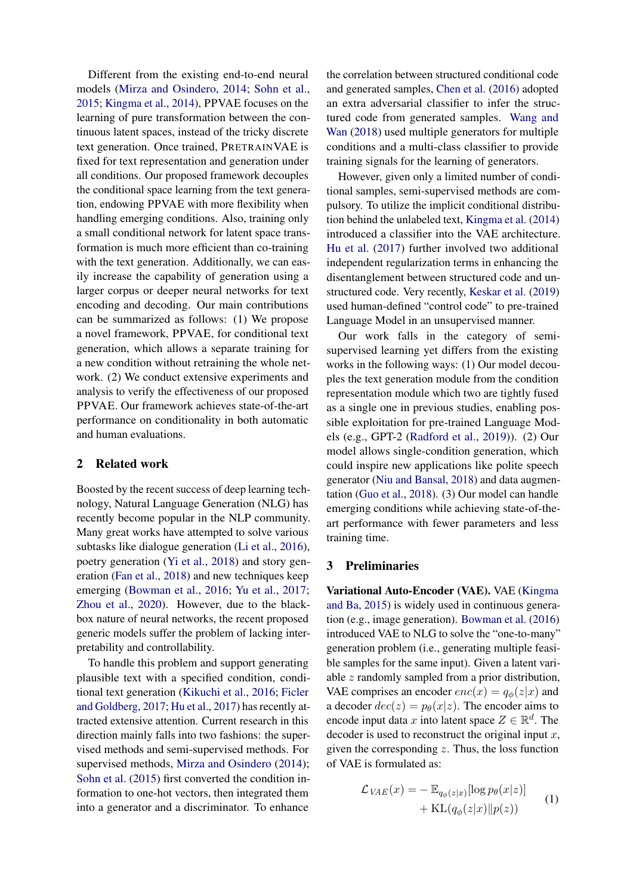Different from the existing end-to-end neural models [\(Mirza and Osindero,](#page-8-3) [2014;](#page-8-3) [Sohn et al.,](#page-9-2) [2015;](#page-9-2) [Kingma et al.,](#page-8-1) [2014\)](#page-8-1), PPVAE focuses on the learning of pure transformation between the continuous latent spaces, instead of the tricky discrete text generation. Once trained, PRETRAINVAE is fixed for text representation and generation under all conditions. Our proposed framework decouples the conditional space learning from the text generation, endowing PPVAE with more flexibility when handling emerging conditions. Also, training only a small conditional network for latent space transformation is much more efficient than co-training with the text generation. Additionally, we can easily increase the capability of generation using a larger corpus or deeper neural networks for text encoding and decoding. Our main contributions can be summarized as follows: (1) We propose a novel framework, PPVAE, for conditional text generation, which allows a separate training for a new condition without retraining the whole network. (2) We conduct extensive experiments and analysis to verify the effectiveness of our proposed PPVAE. Our framework achieves state-of-the-art performance on conditionality in both automatic and human evaluations.

## 2 Related work

Boosted by the recent success of deep learning technology, Natural Language Generation (NLG) has recently become popular in the NLP community. Many great works have attempted to solve various subtasks like dialogue generation [\(Li et al.,](#page-8-7) [2016\)](#page-8-7), poetry generation [\(Yi et al.,](#page-9-3) [2018\)](#page-9-3) and story generation [\(Fan et al.,](#page-8-8) [2018\)](#page-8-8) and new techniques keep emerging [\(Bowman et al.,](#page-8-9) [2016;](#page-8-9) [Yu et al.,](#page-9-4) [2017;](#page-9-4) [Zhou et al.,](#page-9-5) [2020\)](#page-9-5). However, due to the blackbox nature of neural networks, the recent proposed generic models suffer the problem of lacking interpretability and controllability.

To handle this problem and support generating plausible text with a specified condition, conditional text generation [\(Kikuchi et al.,](#page-8-10) [2016;](#page-8-10) [Ficler](#page-8-11) [and Goldberg,](#page-8-11) [2017;](#page-8-11) [Hu et al.,](#page-8-2) [2017\)](#page-8-2) has recently attracted extensive attention. Current research in this direction mainly falls into two fashions: the supervised methods and semi-supervised methods. For supervised methods, [Mirza and Osindero](#page-8-3) [\(2014\)](#page-8-3); [Sohn et al.](#page-9-2) [\(2015\)](#page-9-2) first converted the condition information to one-hot vectors, then integrated them into a generator and a discriminator. To enhance the correlation between structured conditional code and generated samples, [Chen et al.](#page-8-12) [\(2016\)](#page-8-12) adopted an extra adversarial classifier to infer the structured code from generated samples. [Wang and](#page-9-6) [Wan](#page-9-6) [\(2018\)](#page-9-6) used multiple generators for multiple conditions and a multi-class classifier to provide training signals for the learning of generators.

However, given only a limited number of conditional samples, semi-supervised methods are compulsory. To utilize the implicit conditional distribution behind the unlabeled text, [Kingma et al.](#page-8-1) [\(2014\)](#page-8-1) introduced a classifier into the VAE architecture. [Hu et al.](#page-8-2) [\(2017\)](#page-8-2) further involved two additional independent regularization terms in enhancing the disentanglement between structured code and unstructured code. Very recently, [Keskar et al.](#page-8-13) [\(2019\)](#page-8-13) used human-defined "control code" to pre-trained Language Model in an unsupervised manner.

Our work falls in the category of semisupervised learning yet differs from the existing works in the following ways: (1) Our model decouples the text generation module from the condition representation module which two are tightly fused as a single one in previous studies, enabling possible exploitation for pre-trained Language Models (e.g., GPT-2 [\(Radford et al.,](#page-9-7) [2019\)](#page-9-7)). (2) Our model allows single-condition generation, which could inspire new applications like polite speech generator [\(Niu and Bansal,](#page-8-14) [2018\)](#page-8-14) and data augmentation [\(Guo et al.,](#page-8-15) [2018\)](#page-8-15). (3) Our model can handle emerging conditions while achieving state-of-theart performance with fewer parameters and less training time.

#### 3 Preliminaries

Variational Auto-Encoder (VAE). VAE [\(Kingma](#page-8-16) [and Ba,](#page-8-16) [2015\)](#page-8-16) is widely used in continuous generation (e.g., image generation). [Bowman et al.](#page-8-9) [\(2016\)](#page-8-9) introduced VAE to NLG to solve the "one-to-many" generation problem (i.e., generating multiple feasible samples for the same input). Given a latent variable z randomly sampled from a prior distribution, VAE comprises an encoder  $enc(x) = q_{\phi}(z|x)$  and a decoder  $dec(z) = p_{\theta}(x|z)$ . The encoder aims to encode input data x into latent space  $Z \in \mathbb{R}^d$ . The decoder is used to reconstruct the original input  $x$ , given the corresponding  $z$ . Thus, the loss function of VAE is formulated as:

$$
\mathcal{L}_{VAE}(x) = -\mathbb{E}_{q_{\phi}(z|x)}[\log p_{\theta}(x|z)] + \text{KL}(q_{\phi}(z|x) \| p(z)) \tag{1}
$$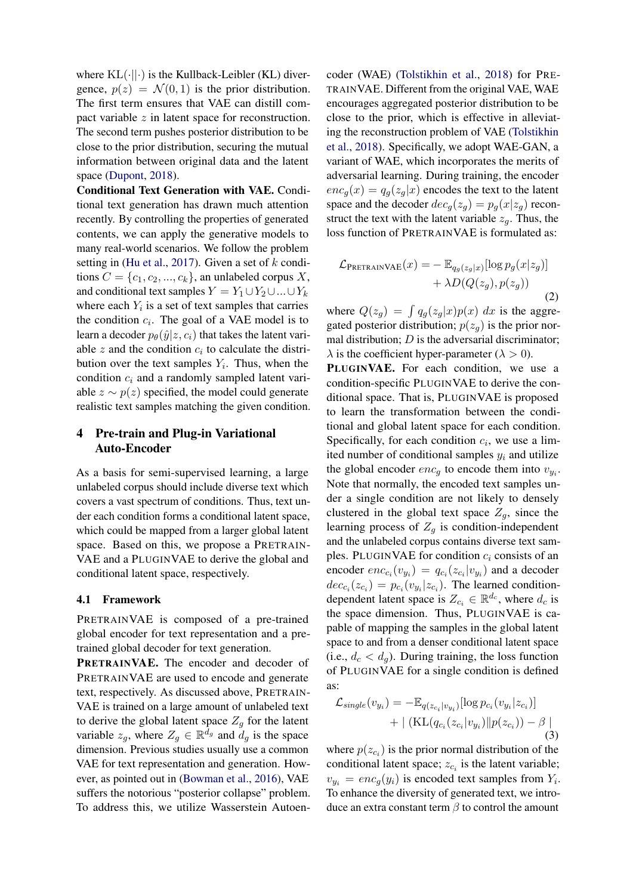where  $KL(\cdot||\cdot)$  is the Kullback-Leibler (KL) divergence,  $p(z) = \mathcal{N}(0, 1)$  is the prior distribution. The first term ensures that VAE can distill compact variable z in latent space for reconstruction. The second term pushes posterior distribution to be close to the prior distribution, securing the mutual information between original data and the latent space [\(Dupont,](#page-8-17) [2018\)](#page-8-17).

Conditional Text Generation with VAE. Conditional text generation has drawn much attention recently. By controlling the properties of generated contents, we can apply the generative models to many real-world scenarios. We follow the problem setting in [\(Hu et al.,](#page-8-2) [2017\)](#page-8-2). Given a set of  $k$  conditions  $C = \{c_1, c_2, ..., c_k\}$ , an unlabeled corpus X, and conditional text samples  $Y = Y_1 \cup Y_2 \cup ... \cup Y_k$ where each  $Y_i$  is a set of text samples that carries the condition  $c_i$ . The goal of a VAE model is to learn a decoder  $p_{\theta}(\hat{y}|z, c_i)$  that takes the latent variable  $z$  and the condition  $c_i$  to calculate the distribution over the text samples  $Y_i$ . Thus, when the condition  $c_i$  and a randomly sampled latent variable  $z \sim p(z)$  specified, the model could generate realistic text samples matching the given condition.

## 4 Pre-train and Plug-in Variational Auto-Encoder

As a basis for semi-supervised learning, a large unlabeled corpus should include diverse text which covers a vast spectrum of conditions. Thus, text under each condition forms a conditional latent space, which could be mapped from a larger global latent space. Based on this, we propose a PRETRAIN-VAE and a PLUGINVAE to derive the global and conditional latent space, respectively.

## 4.1 Framework

PRETRAINVAE is composed of a pre-trained global encoder for text representation and a pretrained global decoder for text generation.

PRETRAINVAE. The encoder and decoder of PRETRAINVAE are used to encode and generate text, respectively. As discussed above, PRETRAIN-VAE is trained on a large amount of unlabeled text to derive the global latent space  $Z_g$  for the latent variable  $z_g$ , where  $Z_g \in \mathbb{R}^{\bar{d}_g}$  and  $\bar{d}_g$  is the space dimension. Previous studies usually use a common VAE for text representation and generation. However, as pointed out in [\(Bowman et al.,](#page-8-9) [2016\)](#page-8-9), VAE suffers the notorious "posterior collapse" problem. To address this, we utilize Wasserstein Autoencoder (WAE) [\(Tolstikhin et al.,](#page-9-8) [2018\)](#page-9-8) for PRE-TRAINVAE. Different from the original VAE, WAE encourages aggregated posterior distribution to be close to the prior, which is effective in alleviating the reconstruction problem of VAE [\(Tolstikhin](#page-9-8) [et al.,](#page-9-8) [2018\)](#page-9-8). Specifically, we adopt WAE-GAN, a variant of WAE, which incorporates the merits of adversarial learning. During training, the encoder  $enc<sub>g</sub>(x) = q<sub>g</sub>(z<sub>g</sub>|x)$  encodes the text to the latent space and the decoder  $dec_q(z_q) = p_q(x|z_q)$  reconstruct the text with the latent variable  $z_a$ . Thus, the loss function of PRETRAINVAE is formulated as:

<span id="page-2-1"></span>
$$
\mathcal{L}_{\text{PRETRANVAE}}(x) = - \mathbb{E}_{q_g(z_g|x)}[\log p_g(x|z_g)] + \lambda D(Q(z_g), p(z_g))
$$
\n(2)

where  $Q(z_g) = \int q_g(z_g|x)p(x) dx$  is the aggregated posterior distribution;  $p(z_q)$  is the prior normal distribution;  $D$  is the adversarial discriminator;  $\lambda$  is the coefficient hyper-parameter ( $\lambda > 0$ ). PLUGINVAE. For each condition, we use a condition-specific PLUGINVAE to derive the conditional space. That is, PLUGINVAE is proposed to learn the transformation between the conditional and global latent space for each condition. Specifically, for each condition  $c_i$ , we use a limited number of conditional samples  $y_i$  and utilize the global encoder  $enc_g$  to encode them into  $v_{y_i}$ . Note that normally, the encoded text samples under a single condition are not likely to densely clustered in the global text space  $Z_g$ , since the learning process of  $Z_g$  is condition-independent and the unlabeled corpus contains diverse text samples. PLUGINVAE for condition  $c_i$  consists of an

encoder  $enc_{c_i}(v_{y_i}) = q_{c_i}(z_{c_i}|v_{y_i})$  and a decoder  $dec_{c_i}(z_{c_i}) = p_{c_i}(v_{y_i}|z_{c_i})$ . The learned conditiondependent latent space is  $Z_{c_i} \in \mathbb{R}^{d_c}$ , where  $d_c$  is the space dimension. Thus, PLUGINVAE is capable of mapping the samples in the global latent space to and from a denser conditional latent space (i.e.,  $d_c < d_a$ ). During training, the loss function of PLUGINVAE for a single condition is defined as:

<span id="page-2-0"></span>
$$
\mathcal{L}_{single}(v_{y_i}) = -\mathbb{E}_{q(z_{c_i}|v_{y_i})}[\log p_{c_i}(v_{y_i}|z_{c_i})]
$$

$$
+ | (\mathrm{KL}(q_{c_i}(z_{c_i}|v_{y_i})||p(z_{c_i})) - \beta |)
$$
(3)

where  $p(z_{c_i})$  is the prior normal distribution of the conditional latent space;  $z_{c_i}$  is the latent variable;  $v_{y_i} = enc_g(y_i)$  is encoded text samples from  $Y_i$ . To enhance the diversity of generated text, we introduce an extra constant term  $\beta$  to control the amount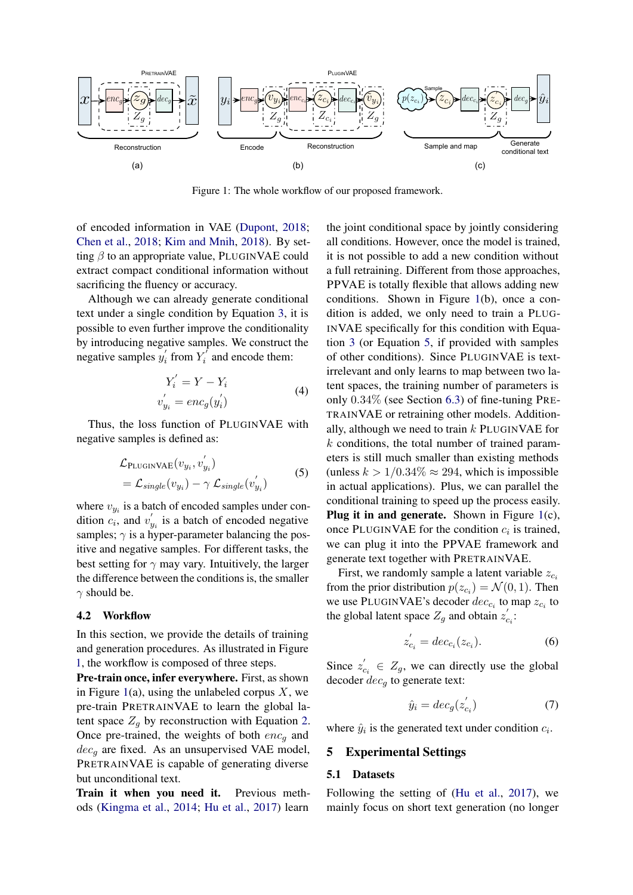<span id="page-3-0"></span>

Figure 1: The whole workflow of our proposed framework.

of encoded information in VAE [\(Dupont,](#page-8-17) [2018;](#page-8-17) [Chen et al.,](#page-8-18) [2018;](#page-8-18) [Kim and Mnih,](#page-8-19) [2018\)](#page-8-19). By setting  $\beta$  to an appropriate value, PLUGINVAE could extract compact conditional information without sacrificing the fluency or accuracy.

Although we can already generate conditional text under a single condition by Equation [3,](#page-2-0) it is possible to even further improve the conditionality by introducing negative samples. We construct the negative samples  $y_i'$  $i$  from  $Y_i^i$  $i'$  and encode them:

<span id="page-3-1"></span>
$$
Y_i' = Y - Y_i
$$
  
\n
$$
v'_{y_i} = enc_g(y'_i)
$$
\n(4)

Thus, the loss function of PLUGINVAE with negative samples is defined as:

$$
\mathcal{L}_{\text{PLUGINVAE}}(v_{y_i}, v'_{y_i})
$$
  
=  $\mathcal{L}_{single}(v_{y_i}) - \gamma \mathcal{L}_{single}(v'_{y_i})$  (5)

where  $v_{y_i}$  is a batch of encoded samples under condition  $c_i$ , and  $v'_{y_i}$  is a batch of encoded negative samples;  $\gamma$  is a hyper-parameter balancing the positive and negative samples. For different tasks, the best setting for  $\gamma$  may vary. Intuitively, the larger the difference between the conditions is, the smaller  $\gamma$  should be.

#### 4.2 Workflow

In this section, we provide the details of training and generation procedures. As illustrated in Figure [1,](#page-3-0) the workflow is composed of three steps.

Pre-train once, infer everywhere. First, as shown in Figure [1\(](#page-3-0)a), using the unlabeled corpus  $X$ , we pre-train PRETRAINVAE to learn the global latent space  $Z_a$  by reconstruction with Equation [2.](#page-2-1) Once pre-trained, the weights of both  $enc_q$  and  $dec<sub>a</sub>$  are fixed. As an unsupervised VAE model, PRETRAINVAE is capable of generating diverse but unconditional text.

Train it when you need it. Previous methods [\(Kingma et al.,](#page-8-1) [2014;](#page-8-1) [Hu et al.,](#page-8-2) [2017\)](#page-8-2) learn the joint conditional space by jointly considering all conditions. However, once the model is trained, it is not possible to add a new condition without a full retraining. Different from those approaches, PPVAE is totally flexible that allows adding new conditions. Shown in Figure [1\(](#page-3-0)b), once a condition is added, we only need to train a PLUG-INVAE specifically for this condition with Equation [3](#page-2-0) (or Equation [5,](#page-3-1) if provided with samples of other conditions). Since PLUGINVAE is textirrelevant and only learns to map between two latent spaces, the training number of parameters is only 0.34% (see Section [6.3\)](#page-6-0) of fine-tuning PRE-TRAINVAE or retraining other models. Additionally, although we need to train  $k$  PLUGINVAE for  $k$  conditions, the total number of trained parameters is still much smaller than existing methods (unless  $k > 1/0.34\% \approx 294$ , which is impossible in actual applications). Plus, we can parallel the conditional training to speed up the process easily. **Plug it in and generate.** Shown in Figure  $1(c)$  $1(c)$ , once PLUGINVAE for the condition  $c_i$  is trained, we can plug it into the PPVAE framework and generate text together with PRETRAINVAE.

First, we randomly sample a latent variable  $z_{c_i}$ from the prior distribution  $p(z_{c_i}) = \mathcal{N}(0, 1)$ . Then we use PLUGINVAE's decoder  $dec_{c_i}$  to map  $z_{c_i}$  to the global latent space  $Z_g$  and obtain  $z'_{c_i}$ :

$$
z'_{c_i} = dec_{c_i}(z_{c_i}).
$$
 (6)

Since  $z'_{c_i} \in Z_g$ , we can directly use the global decoder  $dec_a$  to generate text:

$$
\hat{y}_i = dec_g(z'_{c_i})\tag{7}
$$

where  $\hat{y}_i$  is the generated text under condition  $c_i$ .

## 5 Experimental Settings

#### 5.1 Datasets

Following the setting of [\(Hu et al.,](#page-8-2) [2017\)](#page-8-2), we mainly focus on short text generation (no longer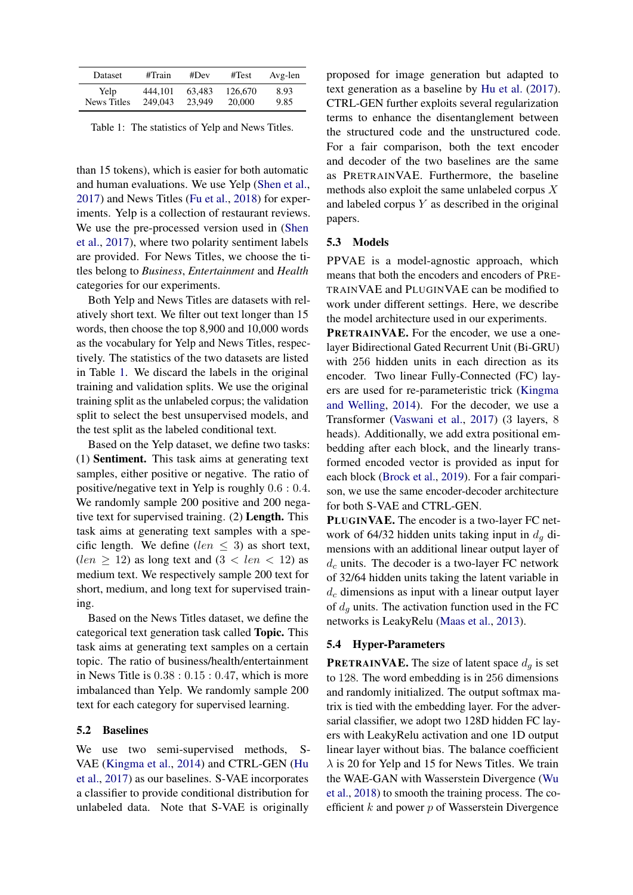<span id="page-4-0"></span>

| <b>Dataset</b>     | #Train  | #Dev   | #Test   | Avg-len |
|--------------------|---------|--------|---------|---------|
| Yelp.              | 444.101 | 63.483 | 126,670 | 8.93    |
| <b>News Titles</b> | 249.043 | 23,949 | 20,000  | 9.85    |

Table 1: The statistics of Yelp and News Titles.

than 15 tokens), which is easier for both automatic and human evaluations. We use Yelp [\(Shen et al.,](#page-9-9) [2017\)](#page-9-9) and News Titles [\(Fu et al.,](#page-8-20) [2018\)](#page-8-20) for experiments. Yelp is a collection of restaurant reviews. We use the pre-processed version used in [\(Shen](#page-9-9) [et al.,](#page-9-9) [2017\)](#page-9-9), where two polarity sentiment labels are provided. For News Titles, we choose the titles belong to *Business*, *Entertainment* and *Health* categories for our experiments.

Both Yelp and News Titles are datasets with relatively short text. We filter out text longer than 15 words, then choose the top 8,900 and 10,000 words as the vocabulary for Yelp and News Titles, respectively. The statistics of the two datasets are listed in Table [1.](#page-4-0) We discard the labels in the original training and validation splits. We use the original training split as the unlabeled corpus; the validation split to select the best unsupervised models, and the test split as the labeled conditional text.

Based on the Yelp dataset, we define two tasks: (1) Sentiment. This task aims at generating text samples, either positive or negative. The ratio of positive/negative text in Yelp is roughly 0.6 : 0.4. We randomly sample 200 positive and 200 negative text for supervised training. (2) Length. This task aims at generating text samples with a specific length. We define (len  $\leq$  3) as short text,  $(len \geq 12)$  as long text and  $(3 < len < 12)$  as medium text. We respectively sample 200 text for short, medium, and long text for supervised training.

Based on the News Titles dataset, we define the categorical text generation task called Topic. This task aims at generating text samples on a certain topic. The ratio of business/health/entertainment in News Title is  $0.38:0.15:0.47$ , which is more imbalanced than Yelp. We randomly sample 200 text for each category for supervised learning.

## 5.2 Baselines

We use two semi-supervised methods, S-VAE [\(Kingma et al.,](#page-8-1) [2014\)](#page-8-1) and CTRL-GEN [\(Hu](#page-8-2) [et al.,](#page-8-2) [2017\)](#page-8-2) as our baselines. S-VAE incorporates a classifier to provide conditional distribution for unlabeled data. Note that S-VAE is originally

proposed for image generation but adapted to text generation as a baseline by [Hu et al.](#page-8-2) [\(2017\)](#page-8-2). CTRL-GEN further exploits several regularization terms to enhance the disentanglement between the structured code and the unstructured code. For a fair comparison, both the text encoder and decoder of the two baselines are the same as PRETRAINVAE. Furthermore, the baseline methods also exploit the same unlabeled corpus X and labeled corpus  $Y$  as described in the original papers.

#### 5.3 Models

PPVAE is a model-agnostic approach, which means that both the encoders and encoders of PRE-TRAINVAE and PLUGINVAE can be modified to work under different settings. Here, we describe the model architecture used in our experiments.

PRETRAINVAE. For the encoder, we use a onelayer Bidirectional Gated Recurrent Unit (Bi-GRU) with 256 hidden units in each direction as its encoder. Two linear Fully-Connected (FC) layers are used for re-parameteristic trick [\(Kingma](#page-8-5) [and Welling,](#page-8-5) [2014\)](#page-8-5). For the decoder, we use a Transformer [\(Vaswani et al.,](#page-9-10) [2017\)](#page-9-10) (3 layers, 8 heads). Additionally, we add extra positional embedding after each block, and the linearly transformed encoded vector is provided as input for each block [\(Brock et al.,](#page-8-21) [2019\)](#page-8-21). For a fair comparison, we use the same encoder-decoder architecture for both S-VAE and CTRL-GEN.

PLUGINVAE. The encoder is a two-layer FC network of 64/32 hidden units taking input in  $d_q$  dimensions with an additional linear output layer of  $d_c$  units. The decoder is a two-layer FC network of 32/64 hidden units taking the latent variable in  $d_c$  dimensions as input with a linear output layer of  $d_q$  units. The activation function used in the FC networks is LeakyRelu [\(Maas et al.,](#page-8-22) [2013\)](#page-8-22).

#### 5.4 Hyper-Parameters

**PRETRAINVAE.** The size of latent space  $d_q$  is set to 128. The word embedding is in 256 dimensions and randomly initialized. The output softmax matrix is tied with the embedding layer. For the adversarial classifier, we adopt two 128D hidden FC layers with LeakyRelu activation and one 1D output linear layer without bias. The balance coefficient  $\lambda$  is 20 for Yelp and 15 for News Titles. We train the WAE-GAN with Wasserstein Divergence [\(Wu](#page-9-11) [et al.,](#page-9-11) [2018\)](#page-9-11) to smooth the training process. The coefficient  $k$  and power  $p$  of Wasserstein Divergence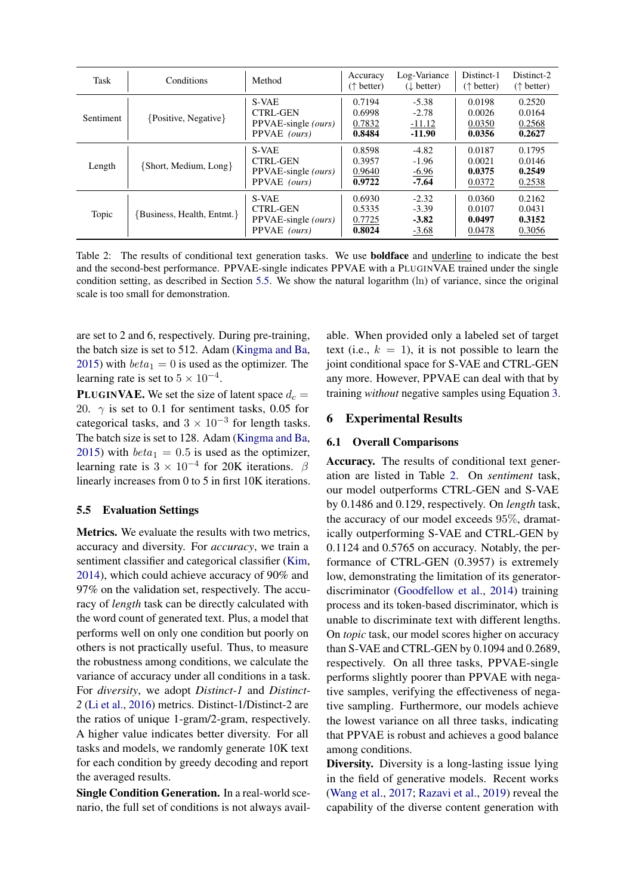<span id="page-5-1"></span>

| Task      | Conditions                | Method                                                          | Accuracy<br>$(\uparrow$ better)      | Log-Variance<br>$(\downarrow$ better)      | Distinct-1<br>$(\uparrow$ better)    | Distinct-2<br>$(\uparrow$ better)    |
|-----------|---------------------------|-----------------------------------------------------------------|--------------------------------------|--------------------------------------------|--------------------------------------|--------------------------------------|
| Sentiment | {Positive, Negative}      | S-VAE<br><b>CTRL-GEN</b><br>PPVAE-single (ours)<br>PPVAE (ours) | 0.7194<br>0.6998<br>0.7832<br>0.8484 | $-5.38$<br>$-2.78$<br>$-11.12$<br>$-11.90$ | 0.0198<br>0.0026<br>0.0350<br>0.0356 | 0.2520<br>0.0164<br>0.2568<br>0.2627 |
| Length    | {Short, Medium, Long}     | S-VAE<br><b>CTRL-GEN</b><br>PPVAE-single (ours)<br>PPVAE (ours) | 0.8598<br>0.3957<br>0.9640<br>0.9722 | $-4.82$<br>$-1.96$<br>$-6.96$<br>$-7.64$   | 0.0187<br>0.0021<br>0.0375<br>0.0372 | 0.1795<br>0.0146<br>0.2549<br>0.2538 |
| Topic     | Business, Health, Entmt.} | S-VAE<br><b>CTRL-GEN</b><br>PPVAE-single (ours)<br>PPVAE (ours) | 0.6930<br>0.5335<br>0.7725<br>0.8024 | $-2.32$<br>$-3.39$<br>$-3.82$<br>$-3.68$   | 0.0360<br>0.0107<br>0.0497<br>0.0478 | 0.2162<br>0.0431<br>0.3152<br>0.3056 |

Table 2: The results of conditional text generation tasks. We use boldface and underline to indicate the best and the second-best performance. PPVAE-single indicates PPVAE with a PLUGINVAE trained under the single condition setting, as described in Section [5.5.](#page-5-0) We show the natural logarithm (ln) of variance, since the original scale is too small for demonstration.

are set to 2 and 6, respectively. During pre-training, the batch size is set to 512. Adam [\(Kingma and Ba,](#page-8-16) [2015\)](#page-8-16) with  $beta_1 = 0$  is used as the optimizer. The learning rate is set to  $5 \times 10^{-4}$ .

**PLUGINVAE.** We set the size of latent space  $d_c$  = 20.  $\gamma$  is set to 0.1 for sentiment tasks, 0.05 for categorical tasks, and  $3 \times 10^{-3}$  for length tasks. The batch size is set to 128. Adam [\(Kingma and Ba,](#page-8-16) [2015\)](#page-8-16) with  $beta_1 = 0.5$  is used as the optimizer, learning rate is  $3 \times 10^{-4}$  for 20K iterations.  $\beta$ linearly increases from 0 to 5 in first 10K iterations.

## <span id="page-5-0"></span>5.5 Evaluation Settings

Metrics. We evaluate the results with two metrics, accuracy and diversity. For *accuracy*, we train a sentiment classifier and categorical classifier [\(Kim,](#page-8-23) [2014\)](#page-8-23), which could achieve accuracy of 90% and 97% on the validation set, respectively. The accuracy of *length* task can be directly calculated with the word count of generated text. Plus, a model that performs well on only one condition but poorly on others is not practically useful. Thus, to measure the robustness among conditions, we calculate the variance of accuracy under all conditions in a task. For *diversity*, we adopt *Distinct-1* and *Distinct-2* [\(Li et al.,](#page-8-7) [2016\)](#page-8-7) metrics. Distinct-1/Distinct-2 are the ratios of unique 1-gram/2-gram, respectively. A higher value indicates better diversity. For all tasks and models, we randomly generate 10K text for each condition by greedy decoding and report the averaged results.

Single Condition Generation. In a real-world scenario, the full set of conditions is not always available. When provided only a labeled set of target text (i.e.,  $k = 1$ ), it is not possible to learn the joint conditional space for S-VAE and CTRL-GEN any more. However, PPVAE can deal with that by training *without* negative samples using Equation [3.](#page-2-0)

# 6 Experimental Results

#### 6.1 Overall Comparisons

Accuracy. The results of conditional text generation are listed in Table [2.](#page-5-1) On *sentiment* task, our model outperforms CTRL-GEN and S-VAE by 0.1486 and 0.129, respectively. On *length* task, the accuracy of our model exceeds 95%, dramatically outperforming S-VAE and CTRL-GEN by 0.1124 and 0.5765 on accuracy. Notably, the performance of CTRL-GEN (0.3957) is extremely low, demonstrating the limitation of its generatordiscriminator [\(Goodfellow et al.,](#page-8-24) [2014\)](#page-8-24) training process and its token-based discriminator, which is unable to discriminate text with different lengths. On *topic* task, our model scores higher on accuracy than S-VAE and CTRL-GEN by 0.1094 and 0.2689, respectively. On all three tasks, PPVAE-single performs slightly poorer than PPVAE with negative samples, verifying the effectiveness of negative sampling. Furthermore, our models achieve the lowest variance on all three tasks, indicating that PPVAE is robust and achieves a good balance among conditions.

Diversity. Diversity is a long-lasting issue lying in the field of generative models. Recent works [\(Wang et al.,](#page-9-12) [2017;](#page-9-12) [Razavi et al.,](#page-9-13) [2019\)](#page-9-13) reveal the capability of the diverse content generation with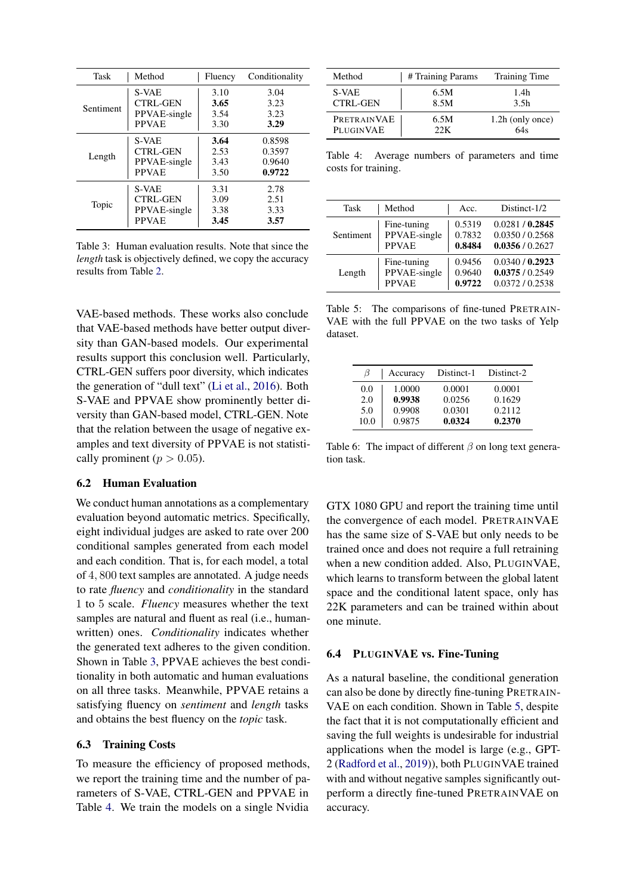<span id="page-6-1"></span>

| Task      | Method       | Fluency | Conditionality |
|-----------|--------------|---------|----------------|
| Sentiment | S-VAE        | 3.10    | 3.04           |
|           | CTRL-GEN     | 3.65    | 3.23           |
|           | PPVAE-single | 3.54    | 3.23           |
|           | <b>PPVAE</b> | 3.30    | 3.29           |
| Length    | S-VAE        | 3.64    | 0.8598         |
|           | CTRL-GEN     | 2.53    | 0.3597         |
|           | PPVAE-single | 3.43    | 0.9640         |
|           | <b>PPVAE</b> | 3.50    | 0.9722         |
| Topic     | S-VAE        | 3.31    | 2.78           |
|           | CTRL-GEN     | 3.09    | 2.51           |
|           | PPVAE-single | 3.38    | 3.33           |
|           | <b>PPVAE</b> | 3.45    | 3.57           |

Table 3: Human evaluation results. Note that since the *length* task is objectively defined, we copy the accuracy results from Table [2.](#page-5-1)

VAE-based methods. These works also conclude that VAE-based methods have better output diversity than GAN-based models. Our experimental results support this conclusion well. Particularly, CTRL-GEN suffers poor diversity, which indicates the generation of "dull text" [\(Li et al.,](#page-8-7) [2016\)](#page-8-7). Both S-VAE and PPVAE show prominently better diversity than GAN-based model, CTRL-GEN. Note that the relation between the usage of negative examples and text diversity of PPVAE is not statistically prominent ( $p > 0.05$ ).

## 6.2 Human Evaluation

We conduct human annotations as a complementary evaluation beyond automatic metrics. Specifically, eight individual judges are asked to rate over 200 conditional samples generated from each model and each condition. That is, for each model, a total of 4, 800 text samples are annotated. A judge needs to rate *fluency* and *conditionality* in the standard 1 to 5 scale. *Fluency* measures whether the text samples are natural and fluent as real (i.e., humanwritten) ones. *Conditionality* indicates whether the generated text adheres to the given condition. Shown in Table [3,](#page-6-1) PPVAE achieves the best conditionality in both automatic and human evaluations on all three tasks. Meanwhile, PPVAE retains a satisfying fluency on *sentiment* and *length* tasks and obtains the best fluency on the *topic* task.

#### <span id="page-6-0"></span>6.3 Training Costs

To measure the efficiency of proposed methods, we report the training time and the number of parameters of S-VAE, CTRL-GEN and PPVAE in Table [4.](#page-6-2) We train the models on a single Nvidia

<span id="page-6-2"></span>

| Method          | # Training Params | <b>Training Time</b> |
|-----------------|-------------------|----------------------|
| S-VAE           | 6.5M              | 1.4h                 |
| <b>CTRL-GEN</b> | 8.5M              | 3.5 <sub>h</sub>     |
| PRETRAINVAE     | 6.5M              | 1.2h (only once)     |
| PLUGINVAE       | 22K               | 64s                  |

Table 4: Average numbers of parameters and time costs for training.

<span id="page-6-3"></span>

| Task      | Method       | Acc.   | Distinct-1/2    |
|-----------|--------------|--------|-----------------|
| Sentiment | Fine-tuning  | 0.5319 | 0.0281 / 0.2845 |
|           | PPVAE-single | 0.7832 | 0.0350 / 0.2568 |
|           | <b>PPVAE</b> | 0.8484 | 0.0356 / 0.2627 |
| Length    | Fine-tuning  | 0.9456 | 0.0340/0.2923   |
|           | PPVAE-single | 0.9640 | 0.0375/0.2549   |
|           | <b>PPVAE</b> | 0.9722 | 0.0372/0.2538   |

Table 5: The comparisons of fine-tuned PRETRAIN-VAE with the full PPVAE on the two tasks of Yelp dataset.

<span id="page-6-4"></span>

| 13   | Accuracy | Distinct-1 | Distinct-2 |
|------|----------|------------|------------|
| 0.0  | 1.0000   | 0.0001     | 0.0001     |
| 2.0  | 0.9938   | 0.0256     | 0.1629     |
| 5.0  | 0.9908   | 0.0301     | 0.2112     |
| 10.0 | 0.9875   | 0.0324     | 0.2370     |

Table 6: The impact of different  $\beta$  on long text generation task.

GTX 1080 GPU and report the training time until the convergence of each model. PRETRAINVAE has the same size of S-VAE but only needs to be trained once and does not require a full retraining when a new condition added. Also, PLUGINVAE, which learns to transform between the global latent space and the conditional latent space, only has 22K parameters and can be trained within about one minute.

#### 6.4 PLUGINVAE vs. Fine-Tuning

As a natural baseline, the conditional generation can also be done by directly fine-tuning PRETRAIN-VAE on each condition. Shown in Table [5,](#page-6-3) despite the fact that it is not computationally efficient and saving the full weights is undesirable for industrial applications when the model is large (e.g., GPT-2 [\(Radford et al.,](#page-9-7) [2019\)](#page-9-7)), both PLUGINVAE trained with and without negative samples significantly outperform a directly fine-tuned PRETRAINVAE on accuracy.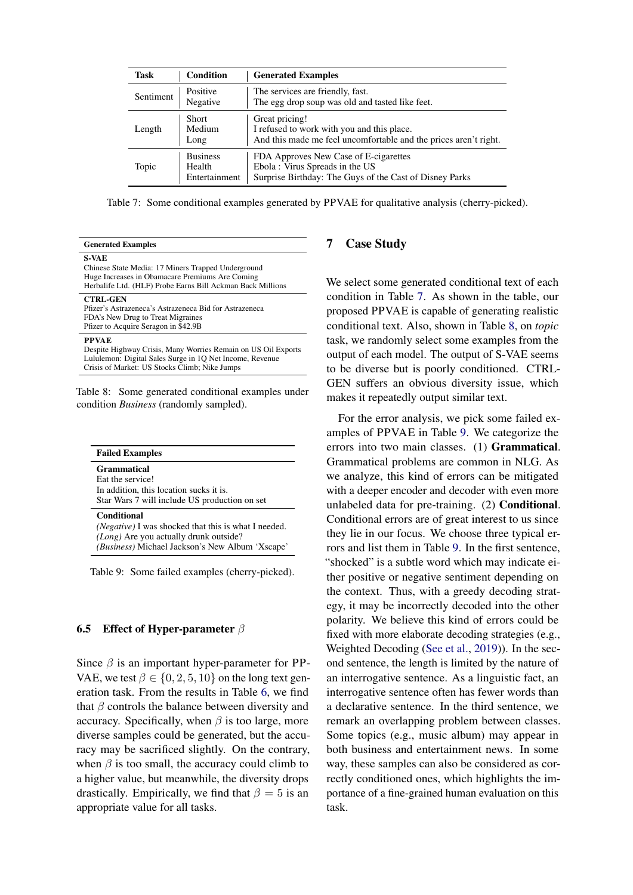<span id="page-7-0"></span>

| Task      | Condition                                  | <b>Generated Examples</b>                                                                                                          |
|-----------|--------------------------------------------|------------------------------------------------------------------------------------------------------------------------------------|
| Sentiment | Positive<br>Negative                       | The services are friendly, fast.<br>The egg drop soup was old and tasted like feet.                                                |
| Length    | <b>Short</b><br>Medium<br>Long             | Great pricing!<br>I refused to work with you and this place.<br>And this made me feel uncomfortable and the prices aren't right.   |
| Topic     | <b>Business</b><br>Health<br>Entertainment | FDA Approves New Case of E-cigarettes<br>Ebola: Virus Spreads in the US<br>Surprise Birthday: The Guys of the Cast of Disney Parks |

Table 7: Some conditional examples generated by PPVAE for qualitative analysis (cherry-picked).

<span id="page-7-1"></span>

| <b>Generated Examples</b>                                                                                                                                                                  |                        |
|--------------------------------------------------------------------------------------------------------------------------------------------------------------------------------------------|------------------------|
| <b>S-VAE</b><br>Chinese State Media: 17 Miners Trapped Underground<br>Huge Increases in Obamacare Premiums Are Coming<br>Herbalife Ltd. (HLF) Probe Earns Bill Ackman Back Millions        | We s                   |
| <b>CTRL-GEN</b><br>Pfizer's Astrazeneca's Astrazeneca Bid for Astrazeneca<br>FDA's New Drug to Treat Migraines<br>Pfizer to Acquire Seragon in \$42.9B                                     | conc<br>prop<br>conc   |
| <b>PPVAE</b><br>Despite Highway Crisis, Many Worries Remain on US Oil Exports<br>Lululemon: Digital Sales Surge in 1Q Net Income, Revenue<br>Crisis of Market: US Stocks Climb; Nike Jumps | task,<br>outp<br>to be |

Table 8: Some generated conditional examples under condition *Business* (randomly sampled).

<span id="page-7-2"></span>

| <b>Failed Examples</b>                                      |  |
|-------------------------------------------------------------|--|
| Grammatical                                                 |  |
| Eat the service!                                            |  |
| In addition, this location sucks it is.                     |  |
| Star Wars 7 will include US production on set               |  |
| <b>Conditional</b>                                          |  |
| <i>(Negative)</i> I was shocked that this is what I needed. |  |
| (Long) Are you actually drunk outside?                      |  |
| (Business) Michael Jackson's New Album 'Xscape'             |  |

Table 9: Some failed examples (cherry-picked).

## 6.5 Effect of Hyper-parameter  $\beta$

Since  $\beta$  is an important hyper-parameter for PP-VAE, we test  $\beta \in \{0, 2, 5, 10\}$  on the long text generation task. From the results in Table [6,](#page-6-4) we find that  $\beta$  controls the balance between diversity and accuracy. Specifically, when  $\beta$  is too large, more diverse samples could be generated, but the accuracy may be sacrificed slightly. On the contrary, when  $\beta$  is too small, the accuracy could climb to a higher value, but meanwhile, the diversity drops drastically. Empirically, we find that  $\beta = 5$  is an appropriate value for all tasks.

# **Case Study**

elect some generated conditional text of each dition in Table [7.](#page-7-0) As shown in the table, our osed PPVAE is capable of generating realistic ditional text. Also, shown in Table [8,](#page-7-1) on *topic* we randomly select some examples from the ut of each model. The output of S-VAE seems e diverse but is poorly conditioned. CTRL-GEN suffers an obvious diversity issue, which makes it repeatedly output similar text.

For the error analysis, we pick some failed examples of PPVAE in Table [9.](#page-7-2) We categorize the errors into two main classes. (1) Grammatical. Grammatical problems are common in NLG. As we analyze, this kind of errors can be mitigated with a deeper encoder and decoder with even more unlabeled data for pre-training. (2) Conditional. Conditional errors are of great interest to us since they lie in our focus. We choose three typical errors and list them in Table [9.](#page-7-2) In the first sentence, "shocked" is a subtle word which may indicate either positive or negative sentiment depending on the context. Thus, with a greedy decoding strategy, it may be incorrectly decoded into the other polarity. We believe this kind of errors could be fixed with more elaborate decoding strategies (e.g., Weighted Decoding [\(See et al.,](#page-9-14) [2019\)](#page-9-14)). In the second sentence, the length is limited by the nature of an interrogative sentence. As a linguistic fact, an interrogative sentence often has fewer words than a declarative sentence. In the third sentence, we remark an overlapping problem between classes. Some topics (e.g., music album) may appear in both business and entertainment news. In some way, these samples can also be considered as correctly conditioned ones, which highlights the importance of a fine-grained human evaluation on this task.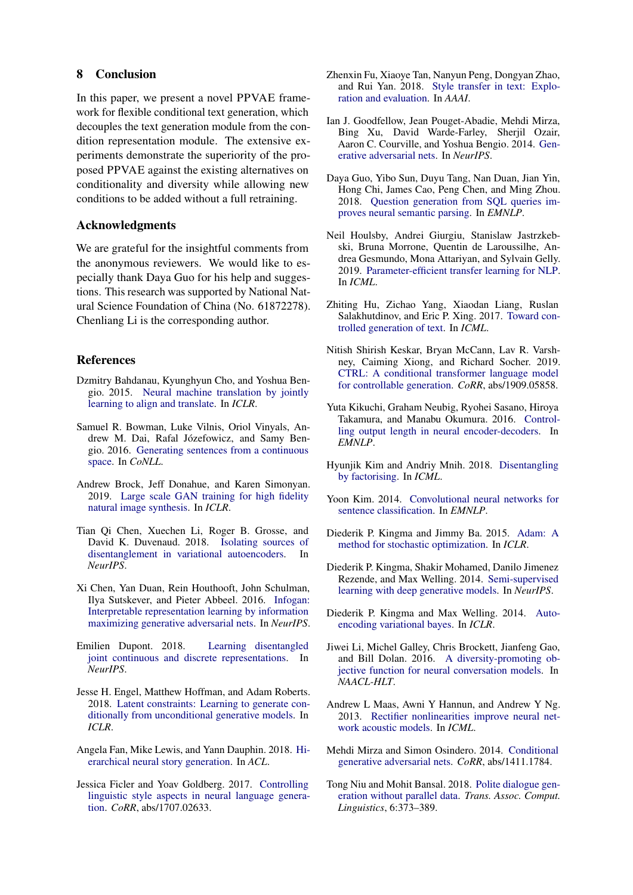## 8 Conclusion

In this paper, we present a novel PPVAE framework for flexible conditional text generation, which decouples the text generation module from the condition representation module. The extensive experiments demonstrate the superiority of the proposed PPVAE against the existing alternatives on conditionality and diversity while allowing new conditions to be added without a full retraining.

## Acknowledgments

We are grateful for the insightful comments from the anonymous reviewers. We would like to especially thank Daya Guo for his help and suggestions. This research was supported by National Natural Science Foundation of China (No. 61872278). Chenliang Li is the corresponding author.

## References

- <span id="page-8-0"></span>Dzmitry Bahdanau, Kyunghyun Cho, and Yoshua Bengio. 2015. [Neural machine translation by jointly](http://arxiv.org/abs/1409.0473) [learning to align and translate.](http://arxiv.org/abs/1409.0473) In *ICLR*.
- <span id="page-8-9"></span>Samuel R. Bowman, Luke Vilnis, Oriol Vinyals, Andrew M. Dai, Rafal Józefowicz, and Samy Bengio. 2016. [Generating sentences from a continuous](https://doi.org/10.18653/v1/k16-1002) [space.](https://doi.org/10.18653/v1/k16-1002) In *CoNLL*.
- <span id="page-8-21"></span>Andrew Brock, Jeff Donahue, and Karen Simonyan. 2019. [Large scale GAN training for high fidelity](https://openreview.net/forum?id=B1xsqj09Fm) [natural image synthesis.](https://openreview.net/forum?id=B1xsqj09Fm) In *ICLR*.
- <span id="page-8-18"></span>Tian Qi Chen, Xuechen Li, Roger B. Grosse, and David K. Duvenaud. 2018. [Isolating sources of](http://papers.nips.cc/paper/7527-isolating-sources-of-disentanglement-in-variational-autoencoders) [disentanglement in variational autoencoders.](http://papers.nips.cc/paper/7527-isolating-sources-of-disentanglement-in-variational-autoencoders) In *NeurIPS*.
- <span id="page-8-12"></span>Xi Chen, Yan Duan, Rein Houthooft, John Schulman, Ilya Sutskever, and Pieter Abbeel. 2016. [Infogan:](http://papers.nips.cc/paper/6399-infogan-interpretable-representation-learning-by-information-maximizing-generative-adversarial-nets) [Interpretable representation learning by information](http://papers.nips.cc/paper/6399-infogan-interpretable-representation-learning-by-information-maximizing-generative-adversarial-nets) [maximizing generative adversarial nets.](http://papers.nips.cc/paper/6399-infogan-interpretable-representation-learning-by-information-maximizing-generative-adversarial-nets) In *NeurIPS*.
- <span id="page-8-17"></span>Emilien Dupont. 2018. [Learning disentangled](http://papers.nips.cc/paper/7351-learning-disentangled-joint-continuous-and-discrete-representations) [joint continuous and discrete representations.](http://papers.nips.cc/paper/7351-learning-disentangled-joint-continuous-and-discrete-representations) In *NeurIPS*.
- <span id="page-8-6"></span>Jesse H. Engel, Matthew Hoffman, and Adam Roberts. 2018. [Latent constraints: Learning to generate con](https://openreview.net/forum?id=Sy8XvGb0-)[ditionally from unconditional generative models.](https://openreview.net/forum?id=Sy8XvGb0-) In *ICLR*.
- <span id="page-8-8"></span>Angela Fan, Mike Lewis, and Yann Dauphin. 2018. [Hi](https://www.aclweb.org/anthology/P18-1082/)[erarchical neural story generation.](https://www.aclweb.org/anthology/P18-1082/) In *ACL*.
- <span id="page-8-11"></span>Jessica Ficler and Yoav Goldberg. 2017. [Controlling](http://arxiv.org/abs/1707.02633) [linguistic style aspects in neural language genera](http://arxiv.org/abs/1707.02633)[tion.](http://arxiv.org/abs/1707.02633) *CoRR*, abs/1707.02633.
- <span id="page-8-20"></span>Zhenxin Fu, Xiaoye Tan, Nanyun Peng, Dongyan Zhao, and Rui Yan. 2018. [Style transfer in text: Explo](https://www.aaai.org/ocs/index.php/AAAI/AAAI18/paper/view/17015)[ration and evaluation.](https://www.aaai.org/ocs/index.php/AAAI/AAAI18/paper/view/17015) In *AAAI*.
- <span id="page-8-24"></span>Ian J. Goodfellow, Jean Pouget-Abadie, Mehdi Mirza, Bing Xu, David Warde-Farley, Sherjil Ozair, Aaron C. Courville, and Yoshua Bengio. 2014. [Gen](http://papers.nips.cc/paper/5423-generative-adversarial-nets)[erative adversarial nets.](http://papers.nips.cc/paper/5423-generative-adversarial-nets) In *NeurIPS*.
- <span id="page-8-15"></span>Daya Guo, Yibo Sun, Duyu Tang, Nan Duan, Jian Yin, Hong Chi, James Cao, Peng Chen, and Ming Zhou. 2018. [Question generation from SQL queries im](https://doi.org/10.18653/v1/d18-1188)[proves neural semantic parsing.](https://doi.org/10.18653/v1/d18-1188) In *EMNLP*.
- <span id="page-8-4"></span>Neil Houlsby, Andrei Giurgiu, Stanislaw Jastrzkebski, Bruna Morrone, Quentin de Laroussilhe, Andrea Gesmundo, Mona Attariyan, and Sylvain Gelly. 2019. [Parameter-efficient transfer learning for NLP.](http://proceedings.mlr.press/v97/houlsby19a.html) In *ICML*.
- <span id="page-8-2"></span>Zhiting Hu, Zichao Yang, Xiaodan Liang, Ruslan Salakhutdinov, and Eric P. Xing. 2017. [Toward con](http://proceedings.mlr.press/v70/hu17e.html)[trolled generation of text.](http://proceedings.mlr.press/v70/hu17e.html) In *ICML*.
- <span id="page-8-13"></span>Nitish Shirish Keskar, Bryan McCann, Lav R. Varshney, Caiming Xiong, and Richard Socher. 2019. [CTRL: A conditional transformer language model](http://arxiv.org/abs/1909.05858) [for controllable generation.](http://arxiv.org/abs/1909.05858) *CoRR*, abs/1909.05858.
- <span id="page-8-10"></span>Yuta Kikuchi, Graham Neubig, Ryohei Sasano, Hiroya Takamura, and Manabu Okumura. 2016. [Control](https://doi.org/10.18653/v1/d16-1140)[ling output length in neural encoder-decoders.](https://doi.org/10.18653/v1/d16-1140) In *EMNLP*.
- <span id="page-8-19"></span>Hyunjik Kim and Andriy Mnih. 2018. [Disentangling](http://proceedings.mlr.press/v80/kim18b.html) [by factorising.](http://proceedings.mlr.press/v80/kim18b.html) In *ICML*.
- <span id="page-8-23"></span>Yoon Kim. 2014. [Convolutional neural networks for](https://doi.org/10.3115/v1/d14-1181) [sentence classification.](https://doi.org/10.3115/v1/d14-1181) In *EMNLP*.
- <span id="page-8-16"></span>Diederik P. Kingma and Jimmy Ba. 2015. [Adam: A](http://arxiv.org/abs/1412.6980) [method for stochastic optimization.](http://arxiv.org/abs/1412.6980) In *ICLR*.
- <span id="page-8-1"></span>Diederik P. Kingma, Shakir Mohamed, Danilo Jimenez Rezende, and Max Welling. 2014. [Semi-supervised](http://papers.nips.cc/paper/5352-semi-supervised-learning-with-deep-generative-models) [learning with deep generative models.](http://papers.nips.cc/paper/5352-semi-supervised-learning-with-deep-generative-models) In *NeurIPS*.
- <span id="page-8-5"></span>Diederik P. Kingma and Max Welling. 2014. [Auto](http://arxiv.org/abs/1312.6114)[encoding variational bayes.](http://arxiv.org/abs/1312.6114) In *ICLR*.
- <span id="page-8-7"></span>Jiwei Li, Michel Galley, Chris Brockett, Jianfeng Gao, and Bill Dolan. 2016. [A diversity-promoting ob](https://doi.org/10.18653/v1/n16-1014)[jective function for neural conversation models.](https://doi.org/10.18653/v1/n16-1014) In *NAACL-HLT*.
- <span id="page-8-22"></span>Andrew L Maas, Awni Y Hannun, and Andrew Y Ng. 2013. [Rectifier nonlinearities improve neural net](http://robotics.stanford.edu/~amaas/papers/relu_hybrid_icml2013_final.pdf)[work acoustic models.](http://robotics.stanford.edu/~amaas/papers/relu_hybrid_icml2013_final.pdf) In *ICML*.
- <span id="page-8-3"></span>Mehdi Mirza and Simon Osindero. 2014. [Conditional](http://arxiv.org/abs/1411.1784) [generative adversarial nets.](http://arxiv.org/abs/1411.1784) *CoRR*, abs/1411.1784.
- <span id="page-8-14"></span>Tong Niu and Mohit Bansal. 2018. [Polite dialogue gen](https://transacl.org/ojs/index.php/tacl/article/view/1424)[eration without parallel data.](https://transacl.org/ojs/index.php/tacl/article/view/1424) *Trans. Assoc. Comput. Linguistics*, 6:373–389.